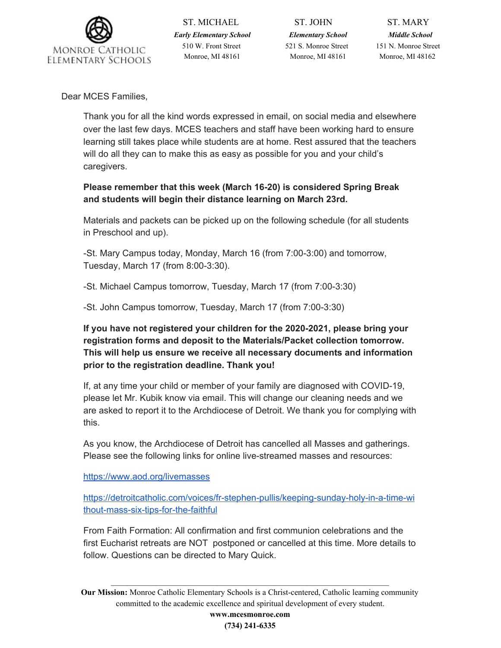

ST. MICHAEL ST. JOHN ST. MARY *Early Elementary School Elementary School Middle School* 510 W. Front Street 521 S. Monroe Street 151 N. Monroe Street Monroe, MI 48161 Monroe, MI 48161 Monroe, MI 48162

Dear MCES Families,

Thank you for all the kind words expressed in email, on social media and elsewhere over the last few days. MCES teachers and staff have been working hard to ensure learning still takes place while students are at home. Rest assured that the teachers will do all they can to make this as easy as possible for you and your child's caregivers.

**Please remember that this week (March 16-20) is considered Spring Break and students will begin their distance learning on March 23rd.**

Materials and packets can be picked up on the following schedule (for all students in Preschool and up).

-St. Mary Campus today, Monday, March 16 (from 7:00-3:00) and tomorrow, Tuesday, March 17 (from 8:00-3:30).

-St. Michael Campus tomorrow, Tuesday, March 17 (from 7:00-3:30)

-St. John Campus tomorrow, Tuesday, March 17 (from 7:00-3:30)

**If you have not registered your children for the 2020-2021, please bring your registration forms and deposit to the Materials/Packet collection tomorrow. This will help us ensure we receive all necessary documents and information prior to the registration deadline. Thank you!**

If, at any time your child or member of your family are diagnosed with COVID-19, please let Mr. Kubik know via email. This will change our cleaning needs and we are asked to report it to the Archdiocese of Detroit. We thank you for complying with this.

As you know, the Archdiocese of Detroit has cancelled all Masses and gatherings. Please see the following links for online live-streamed masses and resources:

[https://www.aod.org/livemasses](http://track.spe.schoolmessenger.com/f/a/LOO8pOEGYUYXWKGBJoEyGA~~/AAAAAQA~/RgRgUNWOP0QeaHR0cHM6Ly93d3cuYW9kLm9yZy9saXZlbWFzc2VzVwdzY2hvb2xtQgoAAA6ib17NMDQkUhhncmV0Y2guaG9ybmluZ0BnbWFpbC5jb21YBAAAAAE~)

[https://detroitcatholic.com/voices/fr-stephen-pullis/keeping-sunday-holy-in-a-time-wi](http://track.spe.schoolmessenger.com/f/a/ZCgpW5nGpnKJ45RJgbJCNQ~~/AAAAAQA~/RgRgUNWOP0R5aHR0cHM6Ly9kZXRyb2l0Y2F0aG9saWMuY29tL3ZvaWNlcy9mci1zdGVwaGVuLXB1bGxpcy9rZWVwaW5nLXN1bmRheS1ob2x5LWluLWEtdGltZS13aXRob3V0LW1hc3Mtc2l4LXRpcHMtZm9yLXRoZS1mYWl0aGZ1bFcHc2Nob29sbUIKAAAOom9ezTA0JFIYZ3JldGNoLmhvcm5pbmdAZ21haWwuY29tWAQAAAAB) [thout-mass-six-tips-for-the-faithful](http://track.spe.schoolmessenger.com/f/a/ZCgpW5nGpnKJ45RJgbJCNQ~~/AAAAAQA~/RgRgUNWOP0R5aHR0cHM6Ly9kZXRyb2l0Y2F0aG9saWMuY29tL3ZvaWNlcy9mci1zdGVwaGVuLXB1bGxpcy9rZWVwaW5nLXN1bmRheS1ob2x5LWluLWEtdGltZS13aXRob3V0LW1hc3Mtc2l4LXRpcHMtZm9yLXRoZS1mYWl0aGZ1bFcHc2Nob29sbUIKAAAOom9ezTA0JFIYZ3JldGNoLmhvcm5pbmdAZ21haWwuY29tWAQAAAAB)

From Faith Formation: All confirmation and first communion celebrations and the first Eucharist retreats are NOT postponed or cancelled at this time. More details to follow. Questions can be directed to Mary Quick.

**Our Mission:** Monroe Catholic Elementary Schools is a Christ-centered, Catholic learning community committed to the academic excellence and spiritual development of every student.

 $\mathcal{L}_\mathcal{L} = \mathcal{L}_\mathcal{L} = \mathcal{L}_\mathcal{L} = \mathcal{L}_\mathcal{L} = \mathcal{L}_\mathcal{L} = \mathcal{L}_\mathcal{L} = \mathcal{L}_\mathcal{L} = \mathcal{L}_\mathcal{L} = \mathcal{L}_\mathcal{L} = \mathcal{L}_\mathcal{L} = \mathcal{L}_\mathcal{L} = \mathcal{L}_\mathcal{L} = \mathcal{L}_\mathcal{L} = \mathcal{L}_\mathcal{L} = \mathcal{L}_\mathcal{L} = \mathcal{L}_\mathcal{L} = \mathcal{L}_\mathcal{L}$ 

**www.mcesmonroe.com (734) 241-6335**